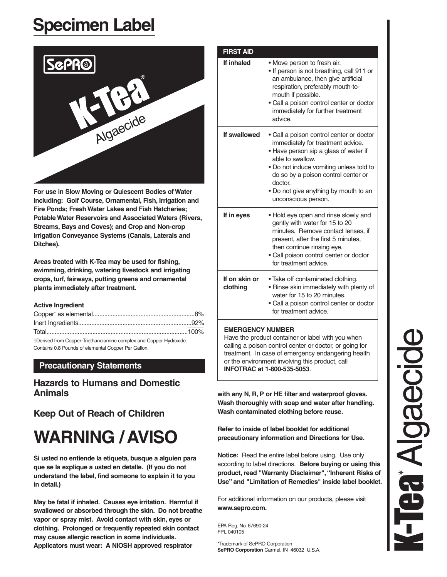# **Specimen Label**



**For use in Slow Moving or Quiescent Bodies of Water Including: Golf Course, Ornamental, Fish, Irrigation and Fire Ponds; Fresh Water Lakes and Fish Hatcheries; Potable Water Reservoirs and Associated Waters (Rivers, Streams, Bays and Coves); and Crop and Non-crop Irrigation Conveyance Systems (Canals, Laterals and Ditches).**

**Areas treated with K-Tea may be used for fishing, swimming, drinking, watering livestock and irrigating crops, turf, fairways, putting greens and ornamental plants immediately after treatment.**

#### **Active Ingredient**

| †Derived from Copper-Triethanolamine complex and Copper Hydroxide. |  |
|--------------------------------------------------------------------|--|

Contains 0.8 Pounds of elemental Copper Per Gallon.

# **Precautionary Statements**

# **Hazards to Humans and Domestic Animals**

# **Keep Out of Reach of Children**

# **WARNING / AVISO**

**Si usted no entiende la etiqueta, busque a alguien para que se la explique a usted en detalle. (If you do not understand the label, find someone to explain it to you in detail.)**

**May be fatal if inhaled. Causes eye irritation. Harmful if swallowed or absorbed through the skin. Do not breathe vapor or spray mist. Avoid contact with skin, eyes or clothing. Prolonged or frequently repeated skin contact may cause allergic reaction in some individuals. Applicators must wear: A NIOSH approved respirator** 

| If inhaled                | • Move person to fresh air.<br>• If person is not breathing, call 911 or<br>an ambulance, then give artificial<br>respiration, preferably mouth-to-<br>mouth if possible.<br>• Call a poison control center or doctor<br>immediately for further treatment<br>advice.                                   |
|---------------------------|---------------------------------------------------------------------------------------------------------------------------------------------------------------------------------------------------------------------------------------------------------------------------------------------------------|
| If swallowed              | • Call a poison control center or doctor<br>immediately for treatment advice.<br>. Have person sip a glass of water if<br>able to swallow.<br>• Do not induce vomiting unless told to<br>do so by a poison control center or<br>doctor.<br>• Do not give anything by mouth to an<br>unconscious person. |
| If in eyes                | • Hold eye open and rinse slowly and<br>gently with water for 15 to 20<br>minutes. Remove contact lenses, if<br>present, after the first 5 minutes,<br>then continue rinsing eye.<br>• Call poison control center or doctor<br>for treatment advice.                                                    |
| If on skin or<br>clothing | • Take off contaminated clothing.<br>. Rinse skin immediately with plenty of<br>water for 15 to 20 minutes.<br>• Call a poison control center or doctor<br>for treatment advice.                                                                                                                        |

Have the product container or label with you when calling a poison control center or doctor, or going for treatment. In case of emergency endangering health or the environment involving this product, call **INFOTRAC at 1-800-535-5053**.

**with any N, R, P or HE filter and waterproof gloves. Wash thoroughly with soap and water after handling. Wash contaminated clothing before reuse.**

**Refer to inside of label booklet for additional precautionary information and Directions for Use.**

**Notice:** Read the entire label before using. Use only according to label directions. **Before buying or using this product, read "Warranty Disclaimer","Inherent Risks of Use" and "Limitation of Remedies" inside label booklet.**

For additional information on our products, please visit **www.sepro.com.**

EPA Reg. No. 67690-24 FPL 040105

\*Trademark of SePRO Corporation **SePRO Corporation** Carmel, IN 46032 U.S.A.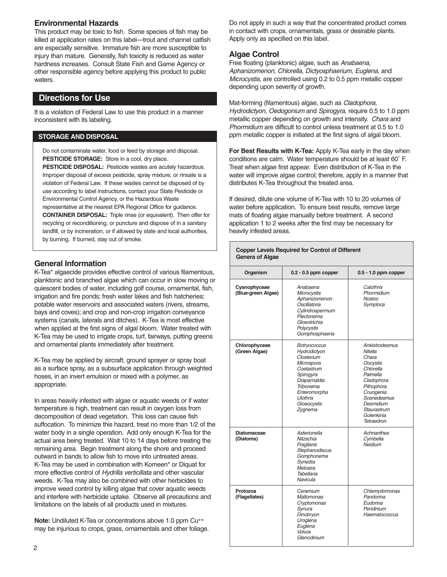### **Environmental Hazards**

This product may be toxic to fish. Some species of fish may be killed at application rates on this label—trout and channel catfish are especially sensitive. Immature fish are more susceptible to injury than mature. Generally, fish toxicity is reduced as water hardness increases. Consult State Fish and Game Agency or other responsible agency before applying this product to public waters.

# **Directions for Use**

It is a violation of Federal Law to use this product in a manner inconsistent with its labeling.

#### **STORAGE AND DISPOSAL**

Do not contaminate water, food or feed by storage and disposal. **PESTICIDE STORAGE:** Store in a cool, dry place. **PESTICIDE DISPOSAL:** Pesticide wastes are acutely hazardous. Improper disposal of excess pesticide, spray mixture, or rinsate is a violation of Federal Law. If these wastes cannot be disposed of by use according to label instructions, contact your State Pesticide or Environmental Control Agency, or the Hazardous Waste representative at the nearest EPA Regional Office for guidance. **CONTAINER DISPOSAL:** Triple rinse (or equivalent). Then offer for

recycling or reconditioning, or puncture and dispose of in a sanitary landfill, or by incineration, or if allowed by state and local authorities, by burning. If burned, stay out of smoke.

## **General Information**

K-Tea\* algaecide provides effective control of various filamentous, planktonic and branched algae which can occur in slow moving or quiescent bodies of water, including golf course, ornamental, fish, irrigation and fire ponds; fresh water lakes and fish hatcheries; potable water reservoirs and associated waters (rivers, streams, bays and coves); and crop and non-crop irrigation conveyance systems (canals, laterals and ditches). K-Tea is most effective when applied at the first signs of algal bloom. Water treated with K-Tea may be used to irrigate crops, turf, fairways, putting greens and ornamental plants immediately after treatment.

K-Tea may be applied by aircraft, ground sprayer or spray boat as a surface spray, as a subsurface application through weighted hoses, in an invert emulsion or mixed with a polymer, as appropriate.

In areas heavily infested with algae or aquatic weeds or if water temperature is high, treatment can result in oxygen loss from decomposition of dead vegetation. This loss can cause fish suffocation. To minimize this hazard, treat no more than 1/2 of the water body in a single operation. Add only enough K-Tea for the actual area being treated. Wait 10 to 14 days before treating the remaining area. Begin treatment along the shore and proceed outward in bands to allow fish to move into untreated areas. K-Tea may be used in combination with Komeen\* or Diquat for more effective control of Hydrilla verticillata and other vascular weeds. K-Tea may also be combined with other herbicides to improve weed control by killing algae that cover aquatic weeds and interfere with herbicide uptake. Observe all precautions and limitations on the labels of all products used in mixtures.

**Note:** Undiluted K-Tea or concentrations above 1.0 ppm Cu++ may be injurious to crops, grass, ornamentals and other foliage. Do not apply in such a way that the concentrated product comes in contact with crops, ornamentals, grass or desirable plants. Apply only as specified on this label.

## **Algae Control**

Free floating (planktonic) algae, such as Anabaena, Aphanizomenon, Chlorella, Dictyosphaerium, Euglena, and Microcystis, are controlled using 0.2 to 0.5 ppm metallic copper depending upon severity of growth.

Mat-forming (filamentous) algae, such as Cladophora, Hydrodictyon, Oedogonium and Spirogyra, require 0.5 to 1.0 ppm metallic copper depending on growth and intensity. Chara and Phormidium are difficult to control unless treatment at 0.5 to 1.0 ppm metallic copper is initiated at the first signs of algal bloom.

**For Best Results with K-Tea:** Apply K-Tea early in the day when conditions are calm. Water temperature should be at least 60˚ F. Treat when algae first appear. Even distribution of K-Tea in the water will improve algae control; therefore, apply in a manner that distributes K-Tea throughout the treated area.

If desired, dilute one volume of K-Tea with 10 to 20 volumes of water before application. To ensure best results, remove large mats of floating algae manually before treatment. A second application 1 to 2 weeks after the first may be necessary for heavily infested areas.

#### **Copper Levels Required for Control of Different Genera of Algae**

| Organism                           | $0.2 - 0.5$ ppm copper                                                                                                                                                        | $0.5 - 1.0$ ppm copper                                                                                                                                                                          |
|------------------------------------|-------------------------------------------------------------------------------------------------------------------------------------------------------------------------------|-------------------------------------------------------------------------------------------------------------------------------------------------------------------------------------------------|
| Cyanophyceae<br>(Blue-green Algae) | Anabaena<br>Microcystis<br>Aphanizomenon<br>Oscillatoria<br>Cylindrospermum<br>Plectonema<br>Gloeotrichia<br>Polycystis<br>Gomphosphaeria                                     | Calothrix<br>Phormidium<br><b>Nostoc</b><br>Symploca                                                                                                                                            |
| Chlorophyceae<br>(Green Algae)     | Botryococcus<br>Hydrodictyon<br>Closterium<br>Microspora<br>Coelastrum<br>Spirogyra<br>Draparnaldia<br>Tribonema<br>Enteromorpha<br><b>Ulothrix</b><br>Gloeocystis<br>Zygnema | Ankistrodesmus<br>Nitella<br>Chara<br><b>Oocystis</b><br>Chlorella<br>Palmella<br>Cladophora<br>Pithophora<br>Crucigenia<br>Scenedesmus<br>Desmidium<br>Staurastrum<br>Golenkinia<br>Tetraedron |
| <b>Diatomaceae</b><br>(Diatoms)    | Asterionella<br>Nitzschia<br>Fragilaria<br>Stephanodiscus<br>Gomphonema<br>Synedra<br>Melosira<br>Tabellaria<br>Navicula                                                      | Achnanthes<br>Cymbella<br>Neidium                                                                                                                                                               |
| Protozoa<br>(Flagellates)          | Ceramium<br><b>Mallomonas</b><br>Cryptomonas<br>Synura<br>Dinobryon<br>Uroglena<br>Euglena<br>Volvox<br>Glenodinium                                                           | Chlamydomonas<br>Pandorina<br>Eudorina<br>Peridinium<br>Haematococcus                                                                                                                           |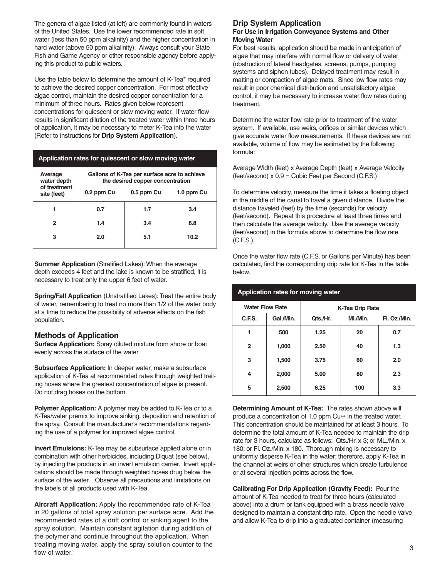The genera of algae listed (at left) are commonly found in waters of the United States. Use the lower recommended rate in soft water (less than 50 ppm alkalinity) and the higher concentration in hard water (above 50 ppm alkalinity). Always consult your State Fish and Game Agency or other responsible agency before applying this product to public waters.

Use the table below to determine the amount of K-Tea\* required to achieve the desired copper concentration. For most effective algae control, maintain the desired copper concentration for a minimum of three hours. Rates given below represent concentrations for quiescent or slow moving water. If water flow results in significant dilution of the treated water within three hours of application, it may be necessary to meter K-Tea into the water (Refer to instructions for **Drip System Application**).

| Application rates for quiescent or slow moving water |                                                                                  |            |            |  |  |  |
|------------------------------------------------------|----------------------------------------------------------------------------------|------------|------------|--|--|--|
| Average<br>water depth<br>of treatment               | Gallons of K-Tea per surface acre to achieve<br>the desired copper concentration |            |            |  |  |  |
| site (feet)                                          | 0.2 ppm Cu                                                                       | 0.5 ppm Cu | 1.0 ppm Cu |  |  |  |
| 1                                                    | 0.7                                                                              | 1.7        | 3.4        |  |  |  |
| 2                                                    | 1.4                                                                              | 3.4        | 6.8        |  |  |  |
| 3                                                    | 2.0                                                                              | 5.1        | 10.2       |  |  |  |

**Summer Application** (Stratified Lakes): When the average depth exceeds 4 feet and the lake is known to be stratified, it is necessary to treat only the upper 6 feet of water.

**Spring/Fall Application** (Unstratified Lakes): Treat the entire body of water, remembering to treat no more than 1/2 of the water body at a time to reduce the possibility of adverse effects on the fish population.

#### **Methods of Application**

**Surface Application:** Spray diluted mixture from shore or boat evenly across the surface of the water.

**Subsurface Application:** In deeper water, make a subsurface application of K-Tea at recommended rates through weighted trailing hoses where the greatest concentration of algae is present. Do not drag hoses on the bottom.

**Polymer Application:** A polymer may be added to K-Tea or to a K-Tea/water premix to improve sinking, deposition and retention of the spray. Consult the manufacturer's recommendations regarding the use of a polymer for improved algae control.

**Invert Emulsions:** K-Tea may be subsurface applied alone or in combination with other herbicides, including Diquat (see below), by injecting the products in an invert emulsion carrier. Invert applications should be made through weighted hoses drug below the surface of the water. Observe all precautions and limitations on the labels of all products used with K-Tea.

**Aircraft Application:** Apply the recommended rate of K-Tea in 20 gallons of total spray solution per surface acre. Add the recommended rates of a drift control or sinking agent to the spray solution. Maintain constant agitation during addition of the polymer and continue throughout the application. When treating moving water, apply the spray solution counter to the flow of water.

# **Drip System Application**

#### **For Use in Irrigation Conveyance Systems and Other Moving Water**

For best results, application should be made in anticipation of algae that may interfere with normal flow or delivery of water (obstruction of lateral headgates, screens, pumps, pumping systems and siphon tubes). Delayed treatment may result in matting or compaction of algae mats. Since low flow rates may result in poor chemical distribution and unsatisfactory algae control, it may be necessary to increase water flow rates during treatment.

Determine the water flow rate prior to treatment of the water system. If available, use weirs, orifices or similar devices which give accurate water flow measurements. If these devices are not available, volume of flow may be estimated by the following formula:

Average Width (feet) x Average Depth (feet) x Average Velocity (feet/second) x 0.9 = Cubic Feet per Second (C.F.S.)

To determine velocity, measure the time it takes a floating object in the middle of the canal to travel a given distance. Divide the distance traveled (feet) by the time (seconds) for velocity (feet/second). Repeat this procedure at least three times and then calculate the average velocity. Use the average velocity (feet/second) in the formula above to determine the flow rate (C.F.S.).

Once the water flow rate (C.F.S. or Gallons per Minute) has been calculated, find the corresponding drip rate for K-Tea in the table below.

| <b>Application rates for moving water</b> |           |                        |          |              |  |
|-------------------------------------------|-----------|------------------------|----------|--------------|--|
| <b>Water Flow Rate</b>                    |           | <b>K-Tea Drip Rate</b> |          |              |  |
| C.F.S.                                    | Gal./Min. | Qts./Hr.               | MI./Min. | Fl. Oz./Min. |  |
| 1                                         | 500       | 1.25                   | 20       | 0.7          |  |
| $\mathbf{2}$                              | 1,000     | 2.50                   | 40       | 1.3          |  |
| 3                                         | 1,500     | 3.75                   | 60       | 2.0          |  |
| 4                                         | 2,000     | 5.00                   | 80       | 2.3          |  |
| 5                                         | 2,500     | 6.25                   | 100      | 3.3          |  |

#### **Application rates for moving water**

**Determining Amount of K-Tea:** The rates shown above will produce a concentration of 1.0 ppm Cu<sup>++</sup> in the treated water. This concentration should be maintained for at least 3 hours. To determine the total amount of K-Tea needed to maintain the drip rate for 3 hours, calculate as follows: Qts./Hr. x 3; or ML./Min. x 180; or Fl. Oz./Min. x 180. Thorough mixing is necessary to uniformly disperse K-Tea in the water; therefore, apply K-Tea in the channel at weirs or other structures which create turbulence or at several injection points across the flow.

**Calibrating For Drip Application (Gravity Feed):** Pour the amount of K-Tea needed to treat for three hours (calculated above) into a drum or tank equipped with a brass needle valve designed to maintain a constant drip rate. Open the needle valve and allow K-Tea to drip into a graduated container (measuring